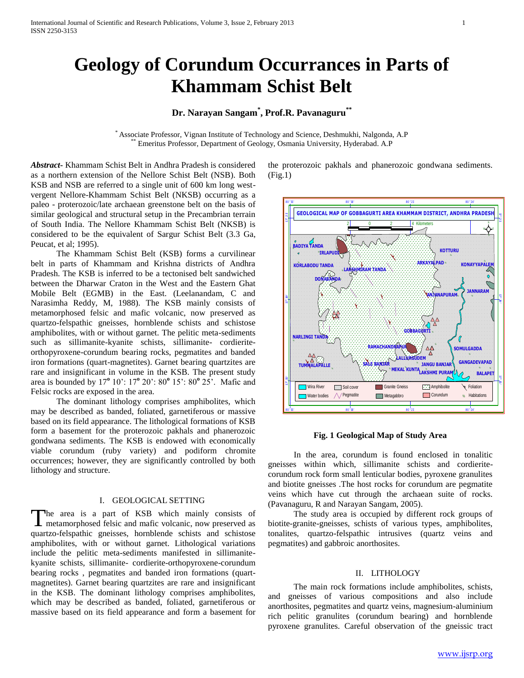# **Geology of Corundum Occurrances in Parts of Khammam Schist Belt**

## **Dr. Narayan Sangam\* , Prof.R. Pavanaguru\*\***

\* Associate Professor, Vignan Institute of Technology and Science, Deshmukhi, Nalgonda, A.P \*\* Emeritus Professor, Department of Geology, Osmania University, Hyderabad. A.P

*Abstract***-** Khammam Schist Belt in Andhra Pradesh is considered as a northern extension of the Nellore Schist Belt (NSB). Both KSB and NSB are referred to a single unit of 600 km long westvergent Nellore-Khammam Schist Belt (NKSB) occurring as a paleo - proterozoic/late archaean greenstone belt on the basis of similar geological and structural setup in the Precambrian terrain of South India. The Nellore Khammam Schist Belt (NKSB) is considered to be the equivalent of Sargur Schist Belt (3.3 Ga, Peucat, et al; 1995).

 The Khammam Schist Belt (KSB) forms a curvilinear belt in parts of Khammam and Krishna districts of Andhra Pradesh. The KSB is inferred to be a tectonised belt sandwiched between the Dharwar Craton in the West and the Eastern Ghat Mobile Belt (EGMB) in the East. (Leelanandam, C and Narasimha Reddy, M, 1988). The KSB mainly consists of metamorphosed felsic and mafic volcanic, now preserved as quartzo-felspathic gneisses, hornblende schists and schistose amphibolites, with or without garnet. The pelitic meta-sediments such as sillimanite-kyanite schists, sillimanite- cordieriteorthopyroxene-corundum bearing rocks, pegmatites and banded iron formations (quart-magnetites). Garnet bearing quartzites are rare and insignificant in volume in the KSB. The present study area is bounded by 17**<sup>o</sup>** 10': 17**<sup>o</sup>** 20': 80**<sup>o</sup>** 15': 80**<sup>o</sup>** 25'. Mafic and Felsic rocks are exposed in the area.

 The dominant lithology comprises amphibolites, which may be described as banded, foliated, garnetiferous or massive based on its field appearance. The lithological formations of KSB form a basement for the proterozoic pakhals and phanerozoic gondwana sediments. The KSB is endowed with economically viable corundum (ruby variety) and podiform chromite occurrences; however, they are significantly controlled by both lithology and structure.

### I. GEOLOGICAL SETTING

The area is a part of KSB which mainly consists of The area is a part of KSB which mainly consists of metamorphosed felsic and mafic volcanic, now preserved as quartzo-felspathic gneisses, hornblende schists and schistose amphibolites, with or without garnet. Lithological variations include the pelitic meta-sediments manifested in sillimanitekyanite schists, sillimanite- cordierite-orthopyroxene-corundum bearing rocks , pegmatites and banded iron formations (quartmagnetites). Garnet bearing quartzites are rare and insignificant in the KSB. The dominant lithology comprises amphibolites, which may be described as banded, foliated, garnetiferous or massive based on its field appearance and form a basement for

the proterozoic pakhals and phanerozoic gondwana sediments. (Fig.1)



### **Fig. 1 Geological Map of Study Area**

 In the area, corundum is found enclosed in tonalitic gneisses within which, sillimanite schists and cordieritecorundum rock form small lenticular bodies, pyroxene granulites and biotite gneisses .The host rocks for corundum are pegmatite veins which have cut through the archaean suite of rocks. (Pavanaguru, R and Narayan Sangam, 2005).

 The study area is occupied by different rock groups of biotite-granite-gneisses, schists of various types, amphibolites, tonalites, quartzo-felspathic intrusives (quartz veins and pegmatites) and gabbroic anorthosites.

### II. LITHOLOGY

 The main rock formations include amphibolites, schists, and gneisses of various compositions and also include anorthosites, pegmatites and quartz veins, magnesium-aluminium rich pelitic granulites (corundum bearing) and hornblende pyroxene granulites. Careful observation of the gneissic tract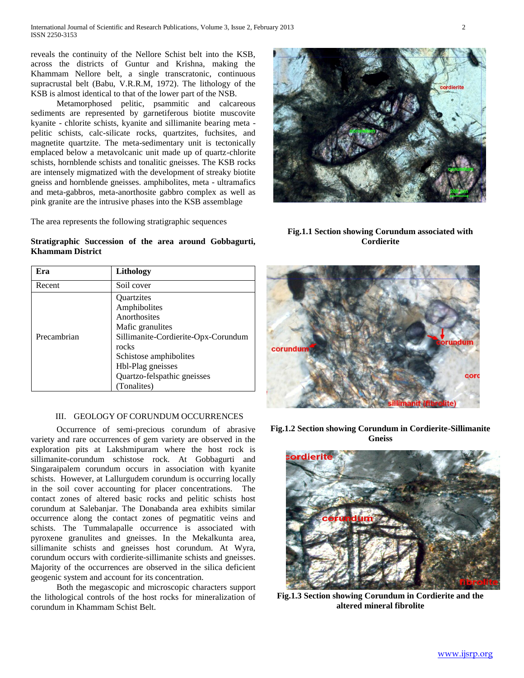reveals the continuity of the Nellore Schist belt into the KSB, across the districts of Guntur and Krishna, making the Khammam Nellore belt, a single transcratonic, continuous supracrustal belt (Babu, V.R.R.M, 1972). The lithology of the KSB is almost identical to that of the lower part of the NSB.

 Metamorphosed pelitic, psammitic and calcareous sediments are represented by garnetiferous biotite muscovite kyanite - chlorite schists, kyanite and sillimanite bearing meta pelitic schists, calc-silicate rocks, quartzites, fuchsites, and magnetite quartzite. The meta-sedimentary unit is tectonically emplaced below a metavolcanic unit made up of quartz-chlorite schists, hornblende schists and tonalitic gneisses. The KSB rocks are intensely migmatized with the development of streaky biotite gneiss and hornblende gneisses. amphibolites, meta - ultramafics and meta-gabbros, meta-anorthosite gabbro complex as well as pink granite are the intrusive phases into the KSB assemblage

The area represents the following stratigraphic sequences

**Khammam District**

**Stratigraphic Succession of the area around Gobbagurti,** 

**Fig.1.1 Section showing Corundum associated with Cordierite**

| Era         | Lithology                                       |
|-------------|-------------------------------------------------|
| Recent      | Soil cover                                      |
| Precambrian | <i><u><b>Ouartzites</b></u></i><br>Amphibolites |
|             | Anorthosites<br>Mafic granulites                |
|             | Sillimanite-Cordierite-Opx-Corundum<br>rocks    |
|             | Schistose amphibolites                          |
|             | Hbl-Plag gneisses                               |
|             | Quartzo-felspathic gneisses                     |
|             | (Tonalites)                                     |

### III. GEOLOGY OF CORUNDUM OCCURRENCES

 Occurrence of semi-precious corundum of abrasive variety and rare occurrences of gem variety are observed in the exploration pits at Lakshmipuram where the host rock is sillimanite-corundum schistose rock. At Gobbagurti and Singaraipalem corundum occurs in association with kyanite schists. However, at Lallurgudem corundum is occurring locally in the soil cover accounting for placer concentrations. The contact zones of altered basic rocks and pelitic schists host corundum at Salebanjar. The Donabanda area exhibits similar occurrence along the contact zones of pegmatitic veins and schists. The Tummalapalle occurrence is associated with pyroxene granulites and gneisses. In the Mekalkunta area, sillimanite schists and gneisses host corundum. At Wyra, corundum occurs with cordierite-sillimanite schists and gneisses. Majority of the occurrences are observed in the silica deficient geogenic system and account for its concentration.

 Both the megascopic and microscopic characters support the lithological controls of the host rocks for mineralization of corundum in Khammam Schist Belt.

**Fig.1.2 Section showing Corundum in Cordierite-Sillimanite Gneiss**

rdieri

**Fig.1.3 Section showing Corundum in Cordierite and the altered mineral fibrolite**